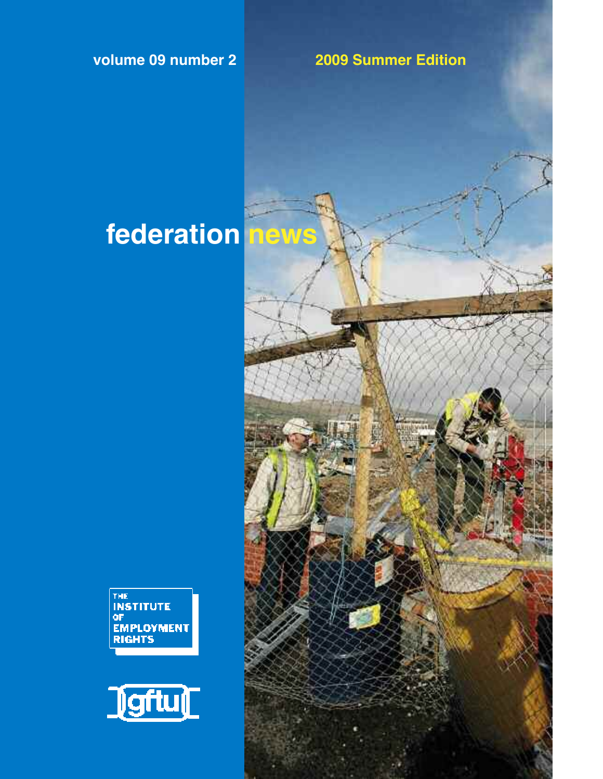**volume 09 number 2 2009 Summer Edition**

# **federation news**



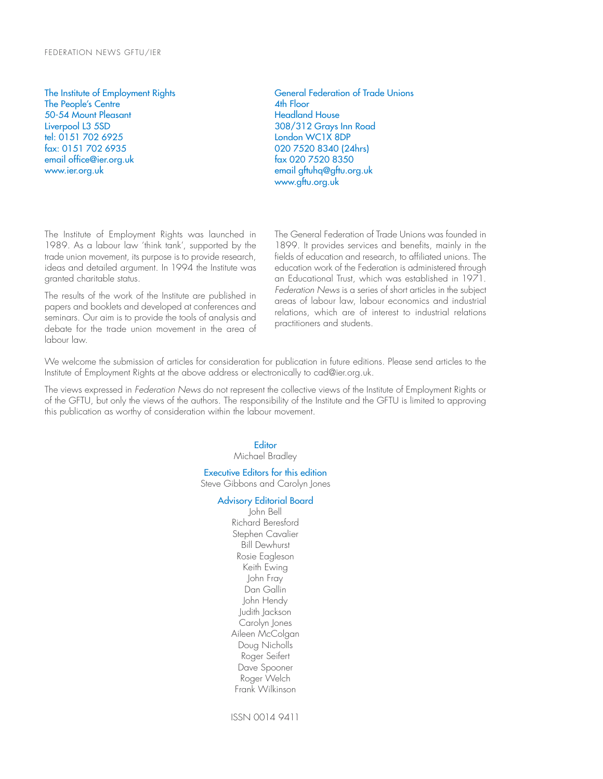### FEDERATION NEWS GFTU/IER

The Institute of Employment Rights The People's Centre 50-54 Mount Pleasant Liverpool L3 5SD tel: 0151 702 6925 fax: 0151 702 6935 email office@ier.org.uk www.ier.org.uk

General Federation of Trade Unions 4th Floor Headland House 308/312 Grays Inn Road London WC1X 8DP 020 7520 8340 (24hrs) fax 020 7520 8350 email gftuhq@gftu.org.uk www.gftu.org.uk

The Institute of Employment Rights was launched in 1989. As a labour law 'think tank', supported by the trade union movement, its purpose is to provide research, ideas and detailed argument. In 1994 the Institute was granted charitable status.

The results of the work of the Institute are published in papers and booklets and developed at conferences and seminars. Our aim is to provide the tools of analysis and debate for the trade union movement in the area of labour law.

The General Federation of Trade Unions was founded in 1899. It provides services and benefits, mainly in the fields of education and research, to affiliated unions. The education work of the Federation is administered through an Educational Trust, which was established in 1971. *Federation News* is a series of short articles in the subject areas of labour law, labour economics and industrial relations, which are of interest to industrial relations practitioners and students.

We welcome the submission of articles for consideration for publication in future editions. Please send articles to the Institute of Employment Rights at the above address or electronically to cad@ier.org.uk.

The views expressed in *Federation News* do not represent the collective views of the Institute of Employment Rights or of the GFTU, but only the views of the authors. The responsibility of the Institute and the GFTU is limited to approving this publication as worthy of consideration within the labour movement.

> **Editor** Michael Bradley

Executive Editors for this edition Steve Gibbons and Carolyn Jones

#### Advisory Editorial Board

John Bell Richard Beresford Stephen Cavalier Bill Dewhurst Rosie Eagleson Keith Ewing John Fray Dan Gallin John Hendy Judith Jackson Carolyn Jones Aileen McColgan Doug Nicholls Roger Seifert Dave Spooner Roger Welch Frank Wilkinson

ISSN 0014 9411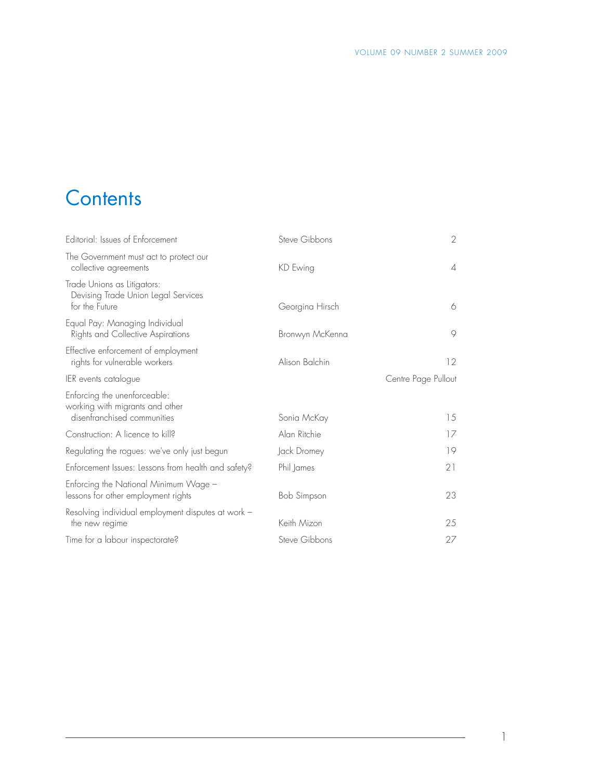### **Contents**

| Editorial: Issues of Enforcement                                                               | Steve Gibbons   | $\overline{2}$      |
|------------------------------------------------------------------------------------------------|-----------------|---------------------|
| The Government must act to protect our<br>collective agreements                                | KD Ewing        | $\overline{4}$      |
| Trade Unions as Litigators:<br>Devising Trade Union Legal Services<br>for the Future           | Georgina Hirsch | 6                   |
| Equal Pay: Managing Individual<br>Rights and Collective Aspirations                            | Bronwyn McKenna | $\circ$             |
| Effective enforcement of employment<br>rights for vulnerable workers                           | Alison Balchin  | 12                  |
| IER events catalogue                                                                           |                 | Centre Page Pullout |
| Enforcing the unenforceable:<br>working with migrants and other<br>disenfranchised communities | Sonia McKay     | 15                  |
| Construction: A licence to kill?                                                               | Alan Ritchie    | 17                  |
| Regulating the rogues: we've only just begun                                                   | Jack Dromey     | 19                  |
| Enforcement Issues: Lessons from health and safety?                                            | Phil James      | 21                  |
| Enforcing the National Minimum Wage -<br>lessons for other employment rights                   | Bob Simpson     | 23                  |
| Resolving individual employment disputes at work -<br>the new regime                           | Keith Mizon     | 25                  |
| Time for a labour inspectorate?                                                                | Steve Gibbons   | 27                  |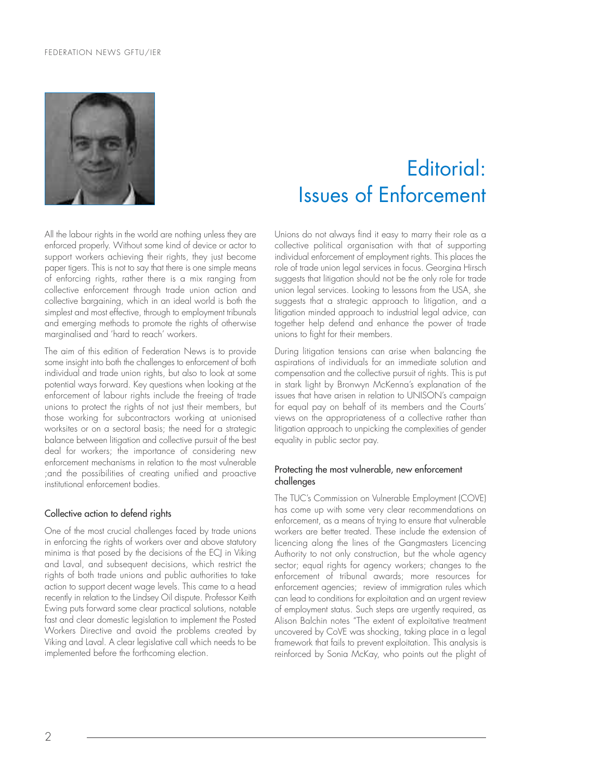### FEDERATION NEWS GFTU/IER



All the labour rights in the world are nothing unless they are enforced properly. Without some kind of device or actor to support workers achieving their rights, they just become paper tigers. This is not to say that there is one simple means of enforcing rights, rather there is a mix ranging from collective enforcement through trade union action and collective bargaining, which in an ideal world is both the simplest and most effective, through to employment tribunals and emerging methods to promote the rights of otherwise marginalised and 'hard to reach' workers.

The aim of this edition of Federation News is to provide some insight into both the challenges to enforcement of both individual and trade union rights, but also to look at some potential ways forward. Key questions when looking at the enforcement of labour rights include the freeing of trade unions to protect the rights of not just their members, but those working for subcontractors working at unionised worksites or on a sectoral basis; the need for a strategic balance between litigation and collective pursuit of the best deal for workers; the importance of considering new enforcement mechanisms in relation to the most vulnerable ;and the possibilities of creating unified and proactive institutional enforcement bodies.

### Collective action to defend rights

One of the most crucial challenges faced by trade unions in enforcing the rights of workers over and above statutory minima is that posed by the decisions of the ECJ in Viking and Laval, and subsequent decisions, which restrict the rights of both trade unions and public authorities to take action to support decent wage levels. This came to a head recently in relation to the Lindsey Oil dispute. Professor Keith Ewing puts forward some clear practical solutions, notable fast and clear domestic legislation to implement the Posted Workers Directive and avoid the problems created by Viking and Laval. A clear legislative call which needs to be implemented before the forthcoming election.

## Editorial: Issues of Enforcement

Unions do not always find it easy to marry their role as a collective political organisation with that of supporting individual enforcement of employment rights. This places the role of trade union legal services in focus. Georgina Hirsch suggests that litigation should not be the only role for trade union legal services. Looking to lessons from the USA, she suggests that a strategic approach to litigation, and a litigation minded approach to industrial legal advice, can together help defend and enhance the power of trade unions to fight for their members.

During litigation tensions can arise when balancing the aspirations of individuals for an immediate solution and compensation and the collective pursuit of rights. This is put in stark light by Bronwyn McKenna's explanation of the issues that have arisen in relation to UNISON's campaign for equal pay on behalf of its members and the Courts' views on the appropriateness of a collective rather than litigation approach to unpicking the complexities of gender equality in public sector pay.

### Protecting the most vulnerable, new enforcement challenges

The TUC's Commission on Vulnerable Employment (COVE) has come up with some very clear recommendations on enforcement, as a means of trying to ensure that vulnerable workers are better treated. These include the extension of licencing along the lines of the Gangmasters Licencing Authority to not only construction, but the whole agency sector; equal rights for agency workers; changes to the enforcement of tribunal awards; more resources for enforcement agencies; review of immigration rules which can lead to conditions for exploitation and an urgent review of employment status. Such steps are urgently required, as Alison Balchin notes "The extent of exploitative treatment uncovered by CoVE was shocking, taking place in a legal framework that fails to prevent exploitation. This analysis is reinforced by Sonia McKay, who points out the plight of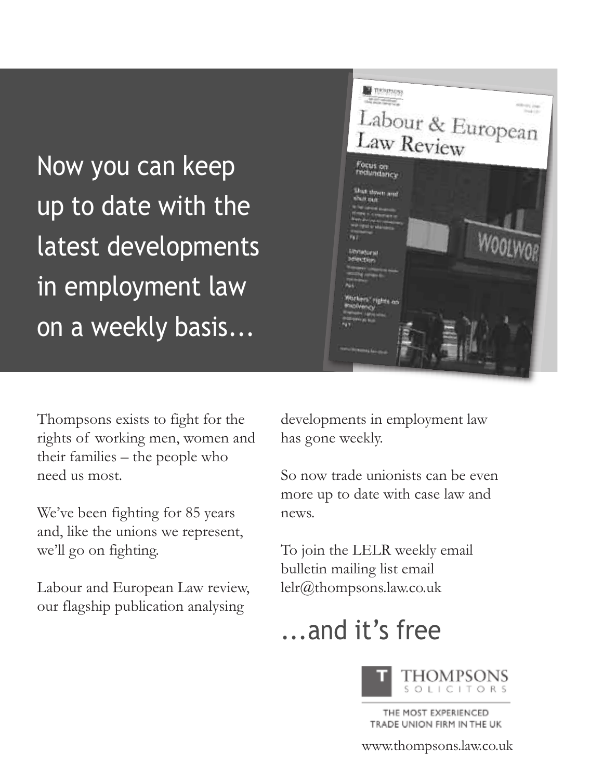Now you can keep up to date with the latest developments in employment law on a weekly basis...



Thompsons exists to fight for the rights of working men, women and their families – the people who need us most.

We've been fighting for 85 years and, like the unions we represent, we'll go on fighting.

Labour and European Law review, our flagship publication analysing

developments in employment law has gone weekly.

So now trade unionists can be even more up to date with case law and news.

To join the LELR weekly email bulletin mailing list email lelr@thompsons.law.co.uk

## ...and it's free



THE MOST EXPERIENCED TRADE UNION FIRM IN THE UK

### www.thompsons.law.co.uk